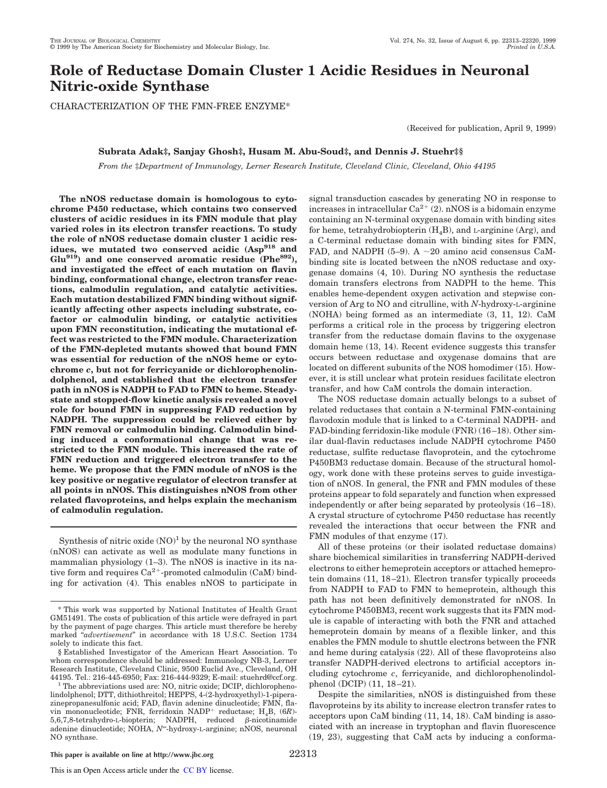# **Role of Reductase Domain Cluster 1 Acidic Residues in Neuronal Nitric-oxide Synthase**

CHARACTERIZATION OF THE FMN-FREE ENZYME\*

(Received for publication, April 9, 1999)

# **Subrata Adak‡, Sanjay Ghosh‡, Husam M. Abu-Soud‡, and Dennis J. Stuehr‡§**

*From the* ‡*Department of Immunology, Lerner Research Institute, Cleveland Clinic, Cleveland, Ohio 44195*

**The nNOS reductase domain is homologous to cytochrome P450 reductase, which contains two conserved clusters of acidic residues in its FMN module that play varied roles in its electron transfer reactions. To study the role of nNOS reductase domain cluster 1 acidic residues, we mutated two conserved acidic (Asp<sup>918</sup> and Glu919) and one conserved aromatic residue (Phe892), and investigated the effect of each mutation on flavin binding, conformational change, electron transfer reactions, calmodulin regulation, and catalytic activities. Each mutation destabilized FMN binding without significantly affecting other aspects including substrate, cofactor or calmodulin binding, or catalytic activities upon FMN reconstitution, indicating the mutational effect was restricted to the FMN module. Characterization of the FMN-depleted mutants showed that bound FMN was essential for reduction of the nNOS heme or cytochrome** *c***, but not for ferricyanide or dichlorophenolindolphenol, and established that the electron transfer path in nNOS is NADPH to FAD to FMN to heme. Steadystate and stopped-flow kinetic analysis revealed a novel role for bound FMN in suppressing FAD reduction by NADPH. The suppression could be relieved either by FMN removal or calmodulin binding. Calmodulin binding induced a conformational change that was restricted to the FMN module. This increased the rate of FMN reduction and triggered electron transfer to the heme. We propose that the FMN module of nNOS is the key positive or negative regulator of electron transfer at all points in nNOS. This distinguishes nNOS from other related flavoproteins, and helps explain the mechanism of calmodulin regulation.**

Synthesis of nitric oxide  $(NO)^1$  by the neuronal NO synthase (nNOS) can activate as well as modulate many functions in mammalian physiology  $(1-3)$ . The nNOS is inactive in its native form and requires  $Ca^{2+}$ -promoted calmodulin (CaM) binding for activation (4). This enables nNOS to participate in

<sup>1</sup> The abbreviations used are: NO, nitric oxide; DCIP, dichlorophenolindolphenol; DTT, dithiothreitol; HEPPS, 4-(2-hydroxyethyl)-1-piperazinepropanesulfonic acid; FAD, flavin adenine dinucleotide; FMN, flavin mononucleotide; FNR, ferridoxin NADP<sup>+</sup> reductase; H<sub>4</sub>B, (6*R*)- $5,6,7,8$ -tetrahydro-L-biopterin; NADPH, reduced  $\beta$ -nicotinamide adenine dinucleotide; NOHA, N<sup>o</sup>-hydroxy-L-arginine; nNOS, neuronal NO synthase.

signal transduction cascades by generating NO in response to increases in intracellular  $Ca^{2+}$  (2). nNOS is a bidomain enzyme containing an N-terminal oxygenase domain with binding sites for heme, tetrahydrobiopterin  $(H<sub>A</sub>B)$ , and L-arginine (Arg), and a C-terminal reductase domain with binding sites for FMN, FAD, and NADPH (5–9). A  $\sim$ 20 amino acid consensus CaMbinding site is located between the nNOS reductase and oxygenase domains (4, 10). During NO synthesis the reductase domain transfers electrons from NADPH to the heme. This enables heme-dependent oxygen activation and stepwise conversion of Arg to NO and citrulline, with *N*-hydroxy-L-arginine (NOHA) being formed as an intermediate (3, 11, 12). CaM performs a critical role in the process by triggering electron transfer from the reductase domain flavins to the oxygenase domain heme (13, 14). Recent evidence suggests this transfer occurs between reductase and oxygenase domains that are located on different subunits of the NOS homodimer (15). However, it is still unclear what protein residues facilitate electron transfer, and how CaM controls the domain interaction.

The NOS reductase domain actually belongs to a subset of related reductases that contain a N-terminal FMN-containing flavodoxin module that is linked to a C-terminal NADPH- and FAD-binding ferridoxin-like module (FNR) (16–18). Other similar dual-flavin reductases include NADPH cytochrome P450 reductase, sulfite reductase flavoprotein, and the cytochrome P450BM3 reductase domain. Because of the structural homology, work done with these proteins serves to guide investigation of nNOS. In general, the FNR and FMN modules of these proteins appear to fold separately and function when expressed independently or after being separated by proteolysis (16–18). A crystal structure of cytochrome P450 reductase has recently revealed the interactions that occur between the FNR and FMN modules of that enzyme (17).

All of these proteins (or their isolated reductase domains) share biochemical similarities in transferring NADPH-derived electrons to either hemeprotein acceptors or attached hemeprotein domains (11, 18–21). Electron transfer typically proceeds from NADPH to FAD to FMN to hemeprotein, although this path has not been definitively demonstrated for nNOS. In cytochrome P450BM3, recent work suggests that its FMN module is capable of interacting with both the FNR and attached hemeprotein domain by means of a flexible linker, and this enables the FMN module to shuttle electrons between the FNR and heme during catalysis (22). All of these flavoproteins also transfer NADPH-derived electrons to artificial acceptors including cytochrome *c*, ferricyanide, and dichlorophenolindolphenol (DCIP) (11, 18–21).

Despite the similarities, nNOS is distinguished from these flavoproteins by its ability to increase electron transfer rates to acceptors upon CaM binding (11, 14, 18). CaM binding is associated with an increase in tryptophan and flavin fluorescence (19, 23), suggesting that CaM acts by inducing a conforma-

<sup>\*</sup> This work was supported by National Institutes of Health Grant GM51491. The costs of publication of this article were defrayed in part by the payment of page charges. This article must therefore be hereby marked "*advertisement*" in accordance with 18 U.S.C. Section 1734 solely to indicate this fact.

<sup>§</sup> Established Investigator of the American Heart Association. To whom correspondence should be addressed: Immunology NB-3, Lerner Research Institute, Cleveland Clinic, 9500 Euclid Ave., Cleveland, OH 44195. Tel.: 216-445-6950; Fax: 216-444-9329; E-mail: stuehrd@ccf.org.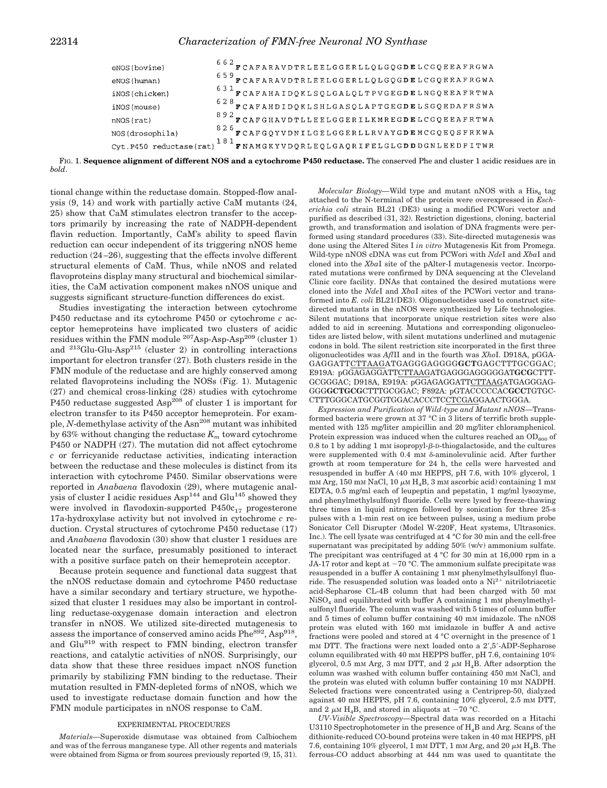| eNOS(bovine)    | $^{6\ 6\ 2}$ $\mathbf r$ CAFARAVDTRLEELGGERLLQLGQGDELCGQEEAFRGWA        |
|-----------------|-------------------------------------------------------------------------|
| eNOS(human)     | 659 FCAFARAVDTRLEELGGERLLQLGQGDELCGQEEAFRGWA                            |
| iNOS(chicken)   | <sup>631</sup> FCAFAHAIDQKLSQLGALQLTPVGEGDELNGQEEAFRTWA                 |
| iNOS(mouse)     | $528$ FCAFAHDIDQKLSHLGASQLAPTGEGDELSGQEDAFRSWA                          |
| nNOS(rat)       | 892 FCAFGHAVDTLLEELGGERILKMREGDELCGQEEAFRTWA                            |
| NOS(drosophila) | 826 FCAFGQYVDNILGELGGERLLRVAYGDEMCGQEQSFRKWA                            |
|                 | Cyt. P450 reductase(rat) $181$ FNAMGKYVDQRLEQLGAQRIFELGLGDDDGNLEEDFITWR |

FIG. 1. **Sequence alignment of different NOS and a cytochrome P450 reductase.** The conserved Phe and cluster 1 acidic residues are in *bold*.

tional change within the reductase domain. Stopped-flow analysis (9, 14) and work with partially active CaM mutants (24, 25) show that CaM stimulates electron transfer to the acceptors primarily by increasing the rate of NADPH-dependent flavin reduction. Importantly, CaM's ability to speed flavin reduction can occur independent of its triggering nNOS heme reduction (24–26), suggesting that the effects involve different structural elements of CaM. Thus, while nNOS and related flavoproteins display many structural and biochemical similarities, the CaM activation component makes nNOS unique and suggests significant structure-function differences do exist.

Studies investigating the interaction between cytochrome P450 reductase and its cytochrome P450 or cytochrome *c* acceptor hemeproteins have implicated two clusters of acidic residues within the FMN module  $^{207}$ Asp-Asp-Asp<sup>209</sup> (cluster 1) and  $^{213}$ Glu-Glu-Asp<sup>215</sup> (cluster 2) in controlling interactions important for electron transfer (27). Both clusters reside in the FMN module of the reductase and are highly conserved among related flavoproteins including the NOSs (Fig. 1). Mutagenic (27) and chemical cross-linking (28) studies with cytochrome P450 reductase suggested Asp<sup>208</sup> of cluster 1 is important for electron transfer to its P450 acceptor hemeprotein. For example, *N*-demethylase activity of the Asn<sup>208</sup> mutant was inhibited by 63% without changing the reductase  $K_m$  toward cytochrome P450 or NADPH (27). The mutation did not affect cytochrome *c* or ferricyanide reductase activities, indicating interaction between the reductase and these molecules is distinct from its interaction with cytochrome P450. Similar observations were reported in *Anabaena* flavodoxin (29), where mutagenic analysis of cluster I acidic residues  $\text{Asp}^{144}$  and Glu<sup>145</sup> showed they were involved in flavodoxin-supported  $P450c_{17}$  progesterone 17a-hydroxylase activity but not involved in cytochrome *c* reduction. Crystal structures of cytochrome P450 reductase (17) and *Anabaena* flavodoxin (30) show that cluster 1 residues are located near the surface, presumably positioned to interact with a positive surface patch on their hemeprotein acceptor.

Because protein sequence and functional data suggest that the nNOS reductase domain and cytochrome P450 reductase have a similar secondary and tertiary structure, we hypothesized that cluster 1 residues may also be important in controlling reductase-oxygenase domain interaction and electron transfer in nNOS. We utilized site-directed mutagenesis to assess the importance of conserved amino acids  $Phe^{892}$ , Asp<sup>918</sup>, and Glu<sup>919</sup> with respect to FMN binding, electron transfer reactions, and catalytic activities of nNOS. Surprisingly, our data show that these three residues impact nNOS function primarily by stabilizing FMN binding to the reductase. Their mutation resulted in FMN-depleted forms of nNOS, which we used to investigate reductase domain function and how the FMN module participates in nNOS response to CaM.

### EXPERIMENTAL PROCEDURES

*Materials—*Superoxide dismutase was obtained from Calbiochem and was of the ferrous manganese type. All other regents and materials were obtained from Sigma or from sources previously reported (9, 15, 31).

 $\emph{Molecular Biology}$ —Wild type and mutant nNOS with a  $\rm His_{6}$  tag attached to the N-terminal of the protein were overexpressed in *Escherichia coli* strain BL21 (DE3) using a modified PCWori vector and purified as described (31, 32). Restriction digestions, cloning, bacterial growth, and transformation and isolation of DNA fragments were performed using standard procedures (33). Site-directed mutagenesis was done using the Altered Sites I *in vitro* Mutagenesis Kit from Promega. Wild-type nNOS cDNA was cut from PCWori with *Nde*I and *Xba*I and cloned into the *Xba*I site of the pAlter-I mutagenesis vector. Incorporated mutations were confirmed by DNA sequencing at the Cleveland Clinic core facility. DNAs that contained the desired mutations were cloned into the *Nde*I and *Xba*I sites of the PCWori vector and transformed into *E. coli* BL21(DE3). Oligonucleotides used to construct sitedirected mutants in the nNOS were synthesized by Life technologies. Silent mutations that incorporate unique restriction sites were also added to aid in screening. Mutations and corresponding oligonucleotides are listed below, with silent mutations underlined and mutagenic codons in bold. The silent restriction site incorporated in the first three oligonucleotides was *Afl*II and in the fourth was *Xho*I. D918A, pGGA-GAGGATTCTTAAGATGAGGGAGGGG**GCT**GAGCTTTGCGGAC; E919A: pGGAGAGGATTCTTAAGATGAGGGAGGGGGAT**GCG**CTTT-GCGGGAC; D918A, E919A: pGGAGAGGATTCTTAAGATGAGGGAG-GGG**GCTGCG**CTTTGCGGAC; F892A: pGTACCCCCAC**GCC**TGTGC-CTTTGGGCATGCGGTGGACACCCTCCTCGAGGAACTGGGA.

*Expression and Purification of Wild-type and Mutant nNOS—*Transformed bacteria were grown at 37 °C in 3 liters of terrific broth supplemented with 125 mg/liter ampicillin and 20 mg/liter chloramphenicol. Protein expression was induced when the cultures reached an  $OD_{600}$  of 0.8 to 1 by adding 1 mM isopropyl- $\beta$ -D-thiogalactoside, and the cultures were supplemented with  $0.4 \text{ mm}$   $\delta$ -aminolevulinic acid. After further growth at room temperature for 24 h, the cells were harvested and resuspended in buffer A (40 mM HEPPS, pH 7.6, with 10% glycerol, 1  $mm Arg, 150 mM NaCl, 10 \mu M H<sub>4</sub>B, 3 mM ascorbic acid) containing 1 mM$ EDTA, 0.5 mg/ml each of leupeptin and pepstatin, 1 mg/ml lysozyme, and phenylmethylsulfonyl fluoride. Cells were lysed by freeze-thawing three times in liquid nitrogen followed by sonication for three 25-s pulses with a 1-min rest on ice between pulses, using a medium probe Sonicator Cell Disrupter (Model W-220F, Heat systems, Ultrasonics. Inc.). The cell lysate was centrifuged at 4 °C for 30 min and the cell-free supernatant was precipitated by adding  $50\%$  (w/v) ammonium sulfate. The precipitant was centrifuged at 4 °C for 30 min at 16,000 rpm in a JA-17 rotor and kept at  $-70$  °C. The ammonium sulfate precipitate was resuspended in a buffer A containing 1 mM phenylmethylsulfonyl fluoride. The resuspended solution was loaded onto a  $\mathrm{Ni^{2+}}$  nitrilotriacetic acid-Sepharose CL-4B column that had been charged with 50 mM NiSO<sub>4</sub> and equilibrated with buffer A containing 1 mM phenylmethylsulfonyl fluoride. The column was washed with 5 times of column buffer and 5 times of column buffer containing 40 mM imidazole. The nNOS protein was eluted with 160 mM imidazole in buffer A and active fractions were pooled and stored at 4 °C overnight in the presence of 1  $mm$  DTT. The fractions were next loaded onto a  $2^{\prime},5^{\prime}$ -ADP-Sepharose column equilibrated with 40 mM HEPPS buffer, pH 7.6, containing  $10\%$ glycerol, 0.5 mm Arg, 3 mm DTT, and 2  $\mu$ M H<sub>4</sub>B. After adsorption the column was washed with column buffer containing 450 mM NaCl, and the protein was eluted with column buffer containing 10 mm NADPH. Selected fractions were concentrated using a Centriprep-50, dialyzed against 40 mM HEPPS, pH 7.6, containing 10% glycerol, 2.5 mM DTT, and 2  $\mu$ M H<sub>4</sub>B, and stored in aliquots at -70 °C.

*UV-Visible Spectroscopy—*Spectral data was recorded on a Hitachi U3110 Spectrophotometer in the presence of H<sub>4</sub>B and Arg. Scans of the dithionite-reduced CO-bound proteins were taken in 40 mM HEPPS, pH 7.6, containing 10% glycerol, 1 mm DTT, 1 mm Arg, and 20  $\mu$ m H<sub>4</sub>B. The ferrous-CO adduct absorbing at 444 nm was used to quantitate the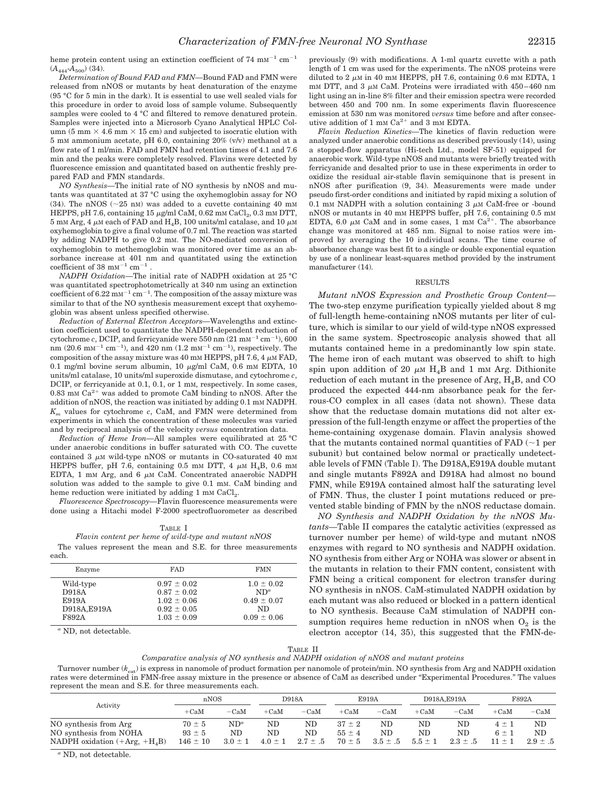heme protein content using an extinction coefficient of  $74 \text{ mm}^{-1} \text{ cm}^{-1}$  $(A_{444} - A_{500})$  (34).

*Determination of Bound FAD and FMN—*Bound FAD and FMN were released from nNOS or mutants by heat denaturation of the enzyme (95 °C for 5 min in the dark). It is essential to use well sealed vials for this procedure in order to avoid loss of sample volume. Subsequently samples were cooled to 4 °C and filtered to remove denatured protein. Samples were injected into a Microsorb Cyano Analytical HPLC Column (5 mm  $\times$  4.6 mm  $\times$  15 cm) and subjected to isocratic elution with 5 mM ammonium acetate, pH 6.0, containing 20% (v/v) methanol at a flow rate of 1 ml/min. FAD and FMN had retention times of 4.1 and 7.6 min and the peaks were completely resolved. Flavins were detected by fluorescence emission and quantitated based on authentic freshly prepared FAD and FMN standards.

*NO Synthesis—*The initial rate of NO synthesis by nNOS and mutants was quantitated at 37 °C using the oxyhemoglobin assay for NO (34). The nNOS ( $\sim$ 25 nM) was added to a cuvette containing 40 mM HEPPS, pH 7.6, containing 15  $\mu$ g/ml CaM, 0.62 mM CaCl<sub>2</sub>, 0.3 mM DTT,  $5$  mM Arg, 4  $\mu$ M each of FAD and H<sub>4</sub>B, 100 units/ml catalase, and 10  $\mu$ M oxyhemoglobin to give a final volume of 0.7 ml. The reaction was started by adding NADPH to give 0.2 mM. The NO-mediated conversion of oxyhemoglobin to methemoglobin was monitored over time as an absorbance increase at 401 nm and quantitated using the extinction coefficient of 38  $\text{mm}^{-1}$   $\text{cm}^{-1}$  .

*NADPH Oxidation—*The initial rate of NADPH oxidation at 25 °C was quantitated spectrophotometrically at 340 nm using an extinction coefficient of  $6.22 \text{ mm}^{-1}$  cm<sup>-1</sup>. The composition of the assay mixture was similar to that of the NO synthesis measurement except that oxyhemoglobin was absent unless specified otherwise.

*Reduction of External Electron Acceptors—*Wavelengths and extinction coefficient used to quantitate the NADPH-dependent reduction of cytochrome *c*, DCIP, and ferricyanide were 550 nm  $(21 \text{ mm}^{-1} \text{ cm}^{-1})$ , 600 nm (20.6 mm<sup>-1</sup> cm<sup>-1</sup>), and 420 nm (1.2 mm<sup>-1</sup> cm<sup>-1</sup>), respectively. The composition of the assay mixture was 40 mm HEPPS, pH 7.6, 4  $\mu$ m FAD, 0.1 mg/ml bovine serum albumin, 10  $\mu$ g/ml CaM, 0.6 mM EDTA, 10 units/ml catalase, 10 units/ml superoxide dismutase, and cytochrome *c*, DCIP, or ferricyanide at 0.1, 0.1, or 1 mM, respectively. In some cases,  $0.83\,$  mm  $\rm Ca^{2+}$  was added to promote CaM binding to nNOS. After the addition of nNOS, the reaction was initiated by adding 0.1 mM NADPH. *K<sup>m</sup>* values for cytochrome *c*, CaM, and FMN were determined from experiments in which the concentration of these molecules was varied and by reciprocal analysis of the velocity *versus* concentration data.

*Reduction of Heme Iron—*All samples were equilibrated at 25 °C under anaerobic conditions in buffer saturated with CO. The cuvette contained  $3 \mu M$  wild-type nNOS or mutants in CO-saturated 40 mM HEPPS buffer, pH 7.6, containing 0.5 mM DTT, 4  $\mu$ M H<sub>4</sub>B, 0.6 mM EDTA, 1 mM Arg, and 6  $\mu$ M CaM. Concentrated anaerobic NADPH solution was added to the sample to give 0.1 mM. CaM binding and heme reduction were initiated by adding  $1 \text{ mm } \text{CaCl}_2$ .

*Fluorescence Spectroscopy—*Flavin fluorescence measurements were done using a Hitachi model F-2000 spectrofluorometer as described

|--|--|

*Flavin content per heme of wild-type and mutant nNOS*

The values represent the mean and S.E. for three measurements each.

| <b>FAD</b>      | <b>FMN</b>      |
|-----------------|-----------------|
| $0.97 \pm 0.02$ | $1.0 \pm 0.02$  |
| $0.87 \pm 0.02$ | $ND^{\alpha}$   |
| $1.02 \pm 0.06$ | $0.49 \pm 0.07$ |
| $0.92 \pm 0.05$ | ND              |
| $1.03 \pm 0.09$ | $0.09 \pm 0.06$ |
|                 |                 |

*<sup>a</sup>* ND, not detectable.

previously (9) with modifications. A 1-ml quartz cuvette with a path length of 1 cm was used for the experiments. The nNOS proteins were diluted to 2  $\mu$ M in 40 mM HEPPS, pH 7.6, containing 0.6 mM EDTA, 1 mM DTT, and 3  $\mu$ M CaM. Proteins were irradiated with 450–460 nm light using an in-line 8% filter and their emission spectra were recorded between 450 and 700 nm. In some experiments flavin fluorescence emission at 530 nm was monitored *versus* time before and after consecutive addition of 1 mm  $Ca^{2+}$  and 3 mm EDTA.

*Flavin Reduction Kinetics—*The kinetics of flavin reduction were analyzed under anaerobic conditions as described previously (14), using a stopped-flow apparatus (Hi-tech Ltd., model SF-51) equipped for anaerobic work. Wild-type nNOS and mutants were briefly treated with ferricyanide and desalted prior to use in these experiments in order to oxidize the residual air-stable flavin semiquinone that is present in nNOS after purification (9, 34). Measurements were made under pseudo first-order conditions and initiated by rapid mixing a solution of 0.1 mM NADPH with a solution containing 3  $\mu$ M CaM-free or -bound nNOS or mutants in 40 mM HEPPS buffer, pH 7.6, containing 0.5 mM EDTA, 6.0  $\mu$ M CaM and in some cases, 1 mM Ca<sup>2+</sup>. The absorbance change was monitored at 485 nm. Signal to noise ratios were improved by averaging the 10 individual scans. The time course of absorbance change was best fit to a single or double exponential equation by use of a nonlinear least-squares method provided by the instrument manufacturer (14).

#### RESULTS

*Mutant nNOS Expression and Prosthetic Group Content—* The two-step enzyme purification typically yielded about 8 mg of full-length heme-containing nNOS mutants per liter of culture, which is similar to our yield of wild-type nNOS expressed in the same system. Spectroscopic analysis showed that all mutants contained heme in a predominantly low spin state. The heme iron of each mutant was observed to shift to high spin upon addition of 20  $\mu$ M H<sub>4</sub>B and 1 mM Arg. Dithionite reduction of each mutant in the presence of Arg,  $H<sub>4</sub>B$ , and CO produced the expected 444-nm absorbance peak for the ferrous-CO complex in all cases (data not shown). These data show that the reductase domain mutations did not alter expression of the full-length enzyme or affect the properties of the heme-containing oxygenase domain. Flavin analysis showed that the mutants contained normal quantities of  $FAD$  ( $\sim$ 1 per subunit) but contained below normal or practically undetectable levels of FMN (Table I). The D918A,E919A double mutant and single mutants F892A and D918A had almost no bound FMN, while E919A contained almost half the saturating level of FMN. Thus, the cluster I point mutations reduced or prevented stable binding of FMN by the nNOS reductase domain.

*NO Synthesis and NADPH Oxidation by the nNOS Mutants—*Table II compares the catalytic activities (expressed as turnover number per heme) of wild-type and mutant nNOS enzymes with regard to NO synthesis and NADPH oxidation. NO synthesis from either Arg or NOHA was slower or absent in the mutants in relation to their FMN content, consistent with FMN being a critical component for electron transfer during NO synthesis in nNOS. CaM-stimulated NADPH oxidation by each mutant was also reduced or blocked in a pattern identical to NO synthesis. Because CaM stimulation of NADPH consumption requires heme reduction in nNOS when  $O_2$  is the electron acceptor (14, 35), this suggested that the FMN-de-

| `ARI |  |
|------|--|
|------|--|

*Comparative analysis of NO synthesis and NADPH oxidation of nNOS and mutant proteins*

Turnover number ( $k_{cat}$ ) is express in nanomole of product formation per nanomole of protein/min. NO synthesis from Arg and NADPH oxidation rates were determined in FMN-free assay mixture in the presence or absence of CaM as described under "Experimental Procedures." The values represent the mean and S.E. for three measurements each.

|                                                                                   | nNOS                                     |                             | D918A                   |                          | E919A                                  |                           | D918A.E919A             |                                    | <b>F892A</b>                       |                                   |
|-----------------------------------------------------------------------------------|------------------------------------------|-----------------------------|-------------------------|--------------------------|----------------------------------------|---------------------------|-------------------------|------------------------------------|------------------------------------|-----------------------------------|
| Activity                                                                          | $+CaM$                                   | $-CaM$                      | $+CaM$                  | $-CaM$                   | $+CaM$                                 | $-CaM$                    | $+CaM$                  | $-CaM$                             | $+CaM$                             | $-CaM$                            |
| NO synthesis from Arg<br>NO synthesis from NOHA<br>NADPH oxidation $(+Arg, +H4B)$ | $70 \pm 5$<br>$93 \pm 5$<br>$146 \pm 10$ | $ND^a$<br>ND<br>$3.0 \pm 1$ | ND<br>ND<br>$4.0 \pm 1$ | ND<br>ND<br>$2.7 \pm .5$ | $37 \pm 2$<br>$55 \pm 4$<br>$70 \pm 5$ | ND<br>ND.<br>$3.5 \pm .5$ | ND<br>ND<br>$5.5 \pm 1$ | $_{\rm ND}$<br>ND.<br>$2.3 \pm .5$ | $4 \pm 1$<br>$6 \pm 1$<br>$11 + 1$ | $_{\rm ND}$<br>ND<br>$2.9 \pm .5$ |

*<sup>a</sup>* ND, not detectable.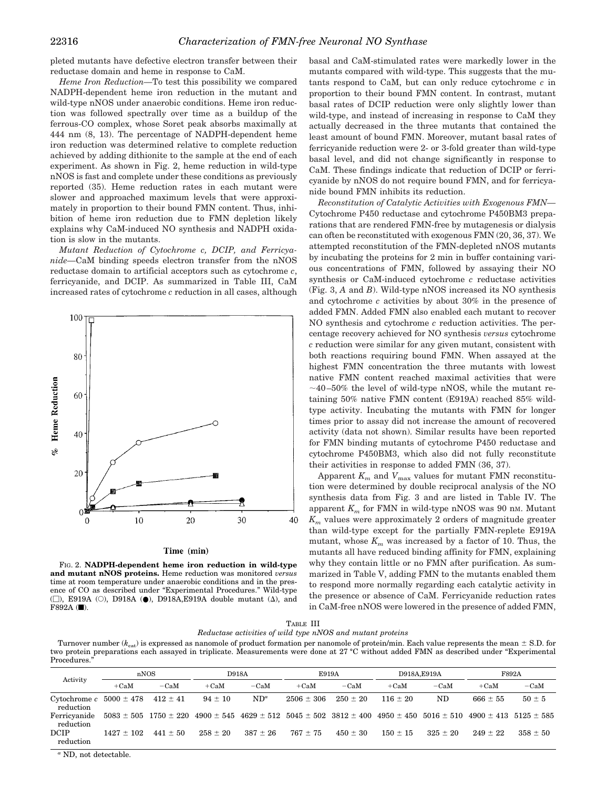pleted mutants have defective electron transfer between their reductase domain and heme in response to CaM.

*Heme Iron Reduction—*To test this possibility we compared NADPH-dependent heme iron reduction in the mutant and wild-type nNOS under anaerobic conditions. Heme iron reduction was followed spectrally over time as a buildup of the ferrous-CO complex, whose Soret peak absorbs maximally at 444 nm (8, 13). The percentage of NADPH-dependent heme iron reduction was determined relative to complete reduction achieved by adding dithionite to the sample at the end of each experiment. As shown in Fig. 2, heme reduction in wild-type nNOS is fast and complete under these conditions as previously reported (35). Heme reduction rates in each mutant were slower and approached maximum levels that were approximately in proportion to their bound FMN content. Thus, inhibition of heme iron reduction due to FMN depletion likely explains why CaM-induced NO synthesis and NADPH oxidation is slow in the mutants.

*Mutant Reduction of Cytochrome c, DCIP, and Ferricyanide—*CaM binding speeds electron transfer from the nNOS reductase domain to artificial acceptors such as cytochrome *c*, ferricyanide, and DCIP. As summarized in Table III, CaM increased rates of cytochrome *c* reduction in all cases, although



#### Time (min)

FIG. 2. **NADPH-dependent heme iron reduction in wild-type and mutant nNOS proteins.** Heme reduction was monitored *versus* time at room temperature under anaerobic conditions and in the presence of CO as described under "Experimental Procedures." Wild-type  $(\Box)$ , E919A (O), D918A ( $\bullet$ ), D918A, E919A double mutant ( $\Delta$ ), and  $F892A$  ( $\blacksquare$ ).

basal and CaM-stimulated rates were markedly lower in the mutants compared with wild-type. This suggests that the mutants respond to CaM, but can only reduce cytochrome *c* in proportion to their bound FMN content. In contrast, mutant basal rates of DCIP reduction were only slightly lower than wild-type, and instead of increasing in response to CaM they actually decreased in the three mutants that contained the least amount of bound FMN. Moreover, mutant basal rates of ferricyanide reduction were 2- or 3-fold greater than wild-type basal level, and did not change significantly in response to CaM. These findings indicate that reduction of DCIP or ferricyanide by nNOS do not require bound FMN, and for ferricyanide bound FMN inhibits its reduction.

*Reconstitution of Catalytic Activities with Exogenous FMN—* Cytochrome P450 reductase and cytochrome P450BM3 preparations that are rendered FMN-free by mutagenesis or dialysis can often be reconstituted with exogenous FMN (20, 36, 37). We attempted reconstitution of the FMN-depleted nNOS mutants by incubating the proteins for 2 min in buffer containing various concentrations of FMN, followed by assaying their NO synthesis or CaM-induced cytochrome *c* reductase activities (Fig. 3, *A* and *B*). Wild-type nNOS increased its NO synthesis and cytochrome *c* activities by about 30% in the presence of added FMN. Added FMN also enabled each mutant to recover NO synthesis and cytochrome *c* reduction activities. The percentage recovery achieved for NO synthesis *versus* cytochrome *c* reduction were similar for any given mutant, consistent with both reactions requiring bound FMN. When assayed at the highest FMN concentration the three mutants with lowest native FMN content reached maximal activities that were  $\sim$ 40–50% the level of wild-type nNOS, while the mutant retaining 50% native FMN content (E919A) reached 85% wildtype activity. Incubating the mutants with FMN for longer times prior to assay did not increase the amount of recovered activity (data not shown). Similar results have been reported for FMN binding mutants of cytochrome P450 reductase and cytochrome P450BM3, which also did not fully reconstitute their activities in response to added FMN (36, 37).

Apparent  $K_m$  and  $V_{\text{max}}$  values for mutant FMN reconstitution were determined by double reciprocal analysis of the NO synthesis data from Fig. 3 and are listed in Table IV. The apparent  $K_m$  for FMN in wild-type nNOS was 90 nm. Mutant *K<sup>m</sup>* values were approximately 2 orders of magnitude greater than wild-type except for the partially FMN-replete E919A mutant, whose  $K_m$  was increased by a factor of 10. Thus, the mutants all have reduced binding affinity for FMN, explaining why they contain little or no FMN after purification. As summarized in Table V, adding FMN to the mutants enabled them to respond more normally regarding each catalytic activity in the presence or absence of CaM. Ferricyanide reduction rates in CaM-free nNOS were lowered in the presence of added FMN,

| TABLE III                                         |  |
|---------------------------------------------------|--|
| $_{0.98}$ activities of wild type nNOS and mutan- |  |

| Reductase activities of wild type nNOS and mutant proteins |  |  |
|------------------------------------------------------------|--|--|
|------------------------------------------------------------|--|--|

Turnover number ( $k_{\text{cat}}$ ) is expressed as nanomole of product formation per nanomole of protein/min. Each value represents the mean  $\pm$  S.D. for two protein preparations each assayed in triplicate. Measurements were done at 27 °C without added FMN as described under "Experimental Procedures.'

| Activity                                                | nNOS         |              | <b>D918A</b>                                                                                                                                          |               | E919A          |              | D918A.E919A  |            | F892A        |              |
|---------------------------------------------------------|--------------|--------------|-------------------------------------------------------------------------------------------------------------------------------------------------------|---------------|----------------|--------------|--------------|------------|--------------|--------------|
|                                                         | $+CaM$       | $-CaM$       | $+CaM$                                                                                                                                                | $-CaM$        | $+CaM$         | $-CaM$       | $+CaM$       | $-CaM$     | $+CaM$       | $-cam$       |
| Cytochrome $c$ 5000 $\pm$ 478 412 $\pm$ 41<br>reduction |              |              | $94 \pm 10$                                                                                                                                           | $ND^{\alpha}$ | $2506 \pm 306$ | $250 \pm 20$ | $116 + 20$   | ND         | $666 \pm 55$ | $50 \pm 5$   |
| Ferricyanide<br>reduction                               |              |              | $5083 \pm 505$ 1750 $\pm 220$ 4900 $\pm 545$ 4629 $\pm 512$ 5045 $\pm 502$ 3812 $\pm 400$ 4950 $\pm 450$ 5016 $\pm 510$ 4900 $\pm 413$ 5125 $\pm 585$ |               |                |              |              |            |              |              |
| DCIP<br>reduction                                       | $1427 + 102$ | $441 \pm 50$ | $258 + 20$                                                                                                                                            | $387 \pm 26$  | $767 \pm 75$   | $450 \pm 30$ | $150 \pm 15$ | $325 + 20$ | $249 + 22$   | $358 \pm 50$ |

*<sup>a</sup>* ND, not detectable.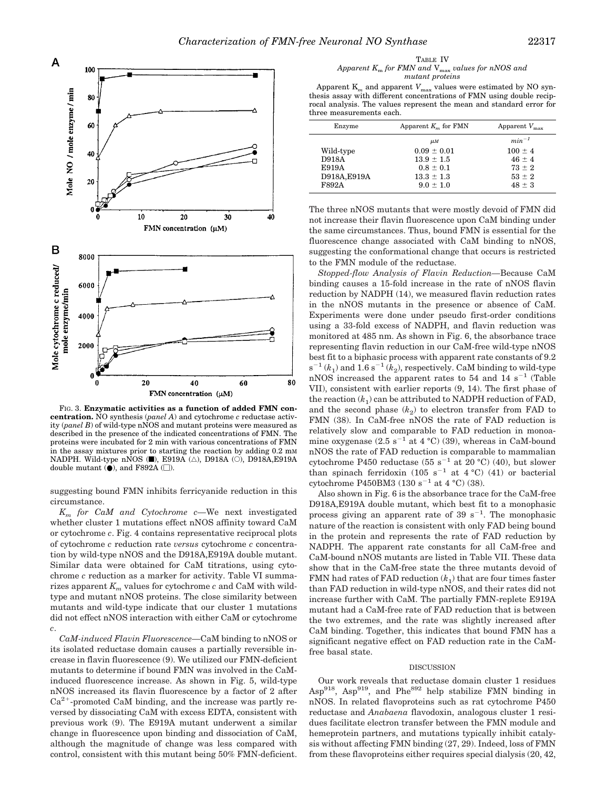

FIG. 3. **Enzymatic activities as a function of added FMN concentration.** NO synthesis (*panel A*) and cytochrome *c* reductase activity (*panel B*) of wild-type nNOS and mutant proteins were measured as described in the presence of the indicated concentrations of FMN. The proteins were incubated for 2 min with various concentrations of FMN in the assay mixtures prior to starting the reaction by adding 0.2 mM NADPH. Wild-type nNOS ( $\blacksquare$ ), E919A ( $\triangle$ ), D918A ( $\bigcirc$ ), D918A,E919A double mutant  $(\bullet)$ , and F892A ( $\square$ ).

suggesting bound FMN inhibits ferricyanide reduction in this circumstance.

*K<sup>m</sup> for CaM and Cytochrome c—*We next investigated whether cluster 1 mutations effect nNOS affinity toward CaM or cytochrome *c*. Fig. 4 contains representative reciprocal plots of cytochrome *c* reduction rate *versus* cytochrome *c* concentration by wild-type nNOS and the D918A,E919A double mutant. Similar data were obtained for CaM titrations, using cytochrome *c* reduction as a marker for activity. Table VI summarizes apparent  $K_m$  values for cytochrome  $c$  and CaM with wildtype and mutant nNOS proteins. The close similarity between mutants and wild-type indicate that our cluster 1 mutations did not effect nNOS interaction with either CaM or cytochrome *c*.

*CaM-induced Flavin Fluorescence—*CaM binding to nNOS or its isolated reductase domain causes a partially reversible increase in flavin fluorescence (9). We utilized our FMN-deficient mutants to determine if bound FMN was involved in the CaMinduced fluorescence increase. As shown in Fig. 5, wild-type nNOS increased its flavin fluorescence by a factor of 2 after  $Ca<sup>2+</sup>$ -promoted CaM binding, and the increase was partly reversed by dissociating CaM with excess EDTA, consistent with previous work (9). The E919A mutant underwent a similar change in fluorescence upon binding and dissociation of CaM, although the magnitude of change was less compared with control, consistent with this mutant being 50% FMN-deficient.

TABLE IV *Apparent K*<sup>m</sup> *for FMN and* Vmax *values for nNOS and mutant proteins*

Apparent  $\mathbf{K}_m$  and apparent  $\mathbf{V}_{\text{max}}$  values were estimated by NO synthesis assay with different concentrations of FMN using double reciprocal analysis. The values represent the mean and standard error for three measurements each.

| Enzyme       | Apparent $K_m$ for FMN | Apparent $V_{\text{max}}$ |
|--------------|------------------------|---------------------------|
|              | $\mu$ <i>M</i>         | $min^{-1}$                |
| Wild-type    | $0.09 \pm 0.01$        | $100 \pm 4$               |
| D918A        | $13.9 \pm 1.5$         | $46 \pm 4$                |
| E919A        | $0.8 \pm 0.1$          | $73 \pm 2$                |
| D918A, E919A | $13.3 \pm 1.3$         | $53 \pm 2$                |
| F892A        | $9.0 \pm 1.0$          | $48 \pm 3$                |
|              |                        |                           |

The three nNOS mutants that were mostly devoid of FMN did not increase their flavin fluorescence upon CaM binding under the same circumstances. Thus, bound FMN is essential for the fluorescence change associated with CaM binding to nNOS, suggesting the conformational change that occurs is restricted to the FMN module of the reductase.

*Stopped-flow Analysis of Flavin Reduction—*Because CaM binding causes a 15-fold increase in the rate of nNOS flavin reduction by NADPH (14), we measured flavin reduction rates in the nNOS mutants in the presence or absence of CaM. Experiments were done under pseudo first-order conditions using a 33-fold excess of NADPH, and flavin reduction was monitored at 485 nm. As shown in Fig. 6, the absorbance trace representing flavin reduction in our CaM-free wild-type nNOS best fit to a biphasic process with apparent rate constants of 9.2  $s^{-1}(k_1)$  and  $1.6 s^{-1}(k_2)$ , respectively. CaM binding to wild-type  $nNOS$  increased the apparent rates to 54 and  $14 \text{ s}^{-1}$  (Table VII), consistent with earlier reports (9, 14). The first phase of the reaction  $(k_1)$  can be attributed to NADPH reduction of FAD, and the second phase  $(k_2)$  to electron transfer from FAD to FMN (38). In CaM-free nNOS the rate of FAD reduction is relatively slow and comparable to FAD reduction in monoamine oxygenase  $(2.5 \text{ s}^{-1}$  at 4 °C) (39), whereas in CaM-bound nNOS the rate of FAD reduction is comparable to mammalian cytochrome P450 reductase  $(55 \text{ s}^{-1} \text{ at } 20 \text{ °C})$  (40), but slower than spinach ferridoxin (105 s<sup>-1</sup> at 4 °C) (41) or bacterial cytochrome P450BM3  $(130 \text{ s}^{-1} \text{ at } 4 \text{ °C})$  (38).

Also shown in Fig. 6 is the absorbance trace for the CaM-free D918A,E919A double mutant, which best fit to a monophasic process giving an apparent rate of 39  $s^{-1}$ . The monophasic nature of the reaction is consistent with only FAD being bound in the protein and represents the rate of FAD reduction by NADPH. The apparent rate constants for all CaM-free and CaM-bound nNOS mutants are listed in Table VII. These data show that in the CaM-free state the three mutants devoid of FMN had rates of FAD reduction  $(k_1)$  that are four times faster than FAD reduction in wild-type nNOS, and their rates did not increase further with CaM. The partially FMN-replete E919A mutant had a CaM-free rate of FAD reduction that is between the two extremes, and the rate was slightly increased after CaM binding. Together, this indicates that bound FMN has a significant negative effect on FAD reduction rate in the CaMfree basal state.

#### DISCUSSION

Our work reveals that reductase domain cluster 1 residues  $\text{Asp}^{918}$ ,  $\text{Asp}^{919}$ , and Phe<sup>892</sup> help stabilize FMN binding in nNOS. In related flavoproteins such as rat cytochrome P450 reductase and *Anabaena* flavodoxin, analogous cluster 1 residues facilitate electron transfer between the FMN module and hemeprotein partners, and mutations typically inhibit catalysis without affecting FMN binding (27, 29). Indeed, loss of FMN from these flavoproteins either requires special dialysis (20, 42,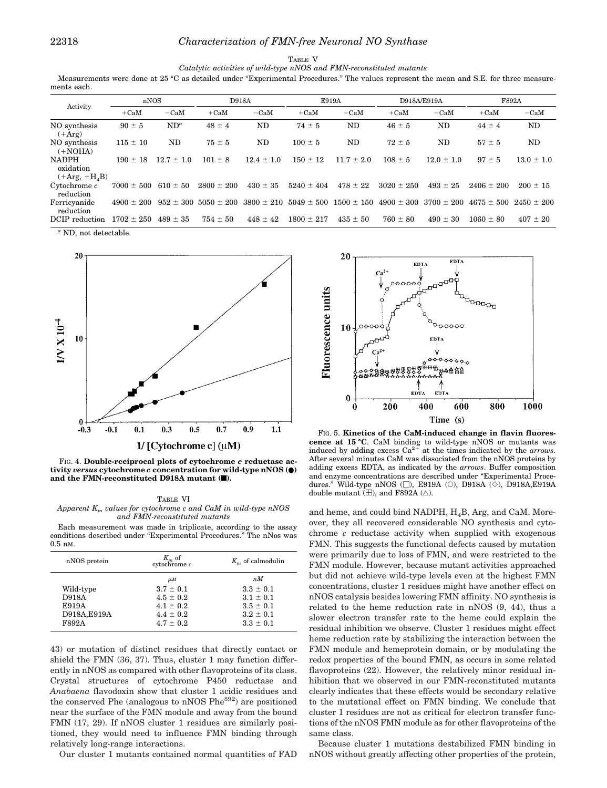TABLE V

*Catalytic activities of wild-type nNOS and FMN-reconstituted mutants*

Measurements were done at 25 °C as detailed under "Experimental Procedures." The values represent the mean and S.E. for three measurements each.

|                                                         | nNOS           |                | <b>D918A</b>                 |                | E919A                         |                | D918A/E919A    |                               | F892A          |                |
|---------------------------------------------------------|----------------|----------------|------------------------------|----------------|-------------------------------|----------------|----------------|-------------------------------|----------------|----------------|
| Activity                                                |                |                |                              |                |                               |                |                |                               |                |                |
|                                                         | $+CaM$         | $-CaM$         | $+CaM$                       | $-CaM$         | $+CaM$                        | $-CaM$         | $+CaM$         | $-CaM$                        | $+CaM$         | $-CaM$         |
| NO synthesis<br>$(+Arg)$                                | $90 \pm 5$     | $ND^a$         | $48 \pm 4$                   | ND             | $74 \pm 5$                    | ND             | $46 \pm 5$     | ND                            | $44 \pm 4$     | ND             |
| NO synthesis<br>$(+NOHA)$                               | $115 \pm 10$   | <b>ND</b>      | $75 \pm 5$                   | ND             | $100 \pm 5$                   | ND             | $72 \pm 5$     | ND                            | $57 \pm 5$     | ND             |
| <b>NADPH</b><br>oxidation<br>$(+Arg, +H4B)$             | $190 \pm 18$   | $12.7 \pm 1.0$ | $101 \pm 8$                  | $12.4 \pm 1.0$ | $150 \pm 12$                  | $11.7 \pm 2.0$ | $108 \pm 5$    | $12.0 \pm 1.0$                | $97 \pm 5$     | $13.0 \pm 1.0$ |
| $C$ vtochrome $c$<br>reduction                          | $7000 \pm 500$ | $610 \pm 50$   | $2800 \pm 200$               | $430 \pm 35$   | $5240 \pm 404$                | $478 \pm 22$   | $3020 \pm 250$ | $493 \pm 25$                  | $2406 \pm 200$ | $200 \pm 15$   |
| Ferricyanide<br>reduction                               | $4900 \pm 200$ |                | $952 \pm 300$ 5050 $\pm$ 200 | $3800 \pm 210$ | $5049 \pm 500$ 1500 $\pm$ 150 |                |                | $4900 \pm 300$ 3700 $\pm$ 200 | $4675 \pm 500$ | $2450 \pm 200$ |
| DCIP reduction<br>$\alpha$ MD $\alpha$ $\alpha$ $\beta$ | $1702 \pm 250$ | $489 \pm 35$   | $754 \pm 50$                 | $448 \pm 42$   | $1800 \pm 217$                | $435 \pm 50$   | $760 \pm 80$   | $490 \pm 30$                  | $1060 \pm 80$  | $407 \pm 20$   |

*<sup>a</sup>* ND, not detectable.



FIG. 4. **Double-reciprocal plots of cytochrome** *c* **reductase activity** *versus* **cytochrome** *c* **concentration for wild-type nNOS (**●**) and the FMN-reconstituted D918A mutant (**f**).**

TABLE VI *Apparent K<sup>m</sup> values for cytochrome c and CaM in wild-type nNOS and FMN-reconstituted mutants*

Each measurement was made in triplicate, according to the assay conditions described under "Experimental Procedures." The nNos was 0.5 nM.

| nNOS protein | $K_m$ of<br>$c$ vtochrome $c$ | $Km$ of calmodulin |
|--------------|-------------------------------|--------------------|
|              | $\mu$ <sub>M</sub>            | nM                 |
| Wild-type    | $3.7 \pm 0.1$                 | $3.3 \pm 0.1$      |
| <b>D918A</b> | $4.5 \pm 0.2$                 | $3.1 \pm 0.1$      |
| E919A        | $4.1 \pm 0.2$                 | $3.5 \pm 0.1$      |
| D918A, E919A | $4.4 \pm 0.2$                 | $3.2 \pm 0.1$      |
| <b>F892A</b> | $4.7 \pm 0.2$                 | $3.3 \pm 0.1$      |

43) or mutation of distinct residues that directly contact or shield the FMN (36, 37). Thus, cluster 1 may function differently in nNOS as compared with other flavoproteins of its class. Crystal structures of cytochrome P450 reductase and *Anabaena* flavodoxin show that cluster 1 acidic residues and the conserved Phe (analogous to nNOS  $Phe^{892}$ ) are positioned near the surface of the FMN module and away from the bound FMN (17, 29). If nNOS cluster 1 residues are similarly positioned, they would need to influence FMN binding through relatively long-range interactions.

Our cluster 1 mutants contained normal quantities of FAD



FIG. 5. **Kinetics of the CaM-induced change in flavin fluorescence at 15 °C**. CaM binding to wild-type nNOS or mutants was induced by adding excess  $Ca^{2+}$  at the times indicated by the *arrows*. After several minutes CaM was dissociated from the nNOS proteins by adding excess EDTA, as indicated by the *arrows*. Buffer composition and enzyme concentrations are described under "Experimental Procedures." Wild-type nNOS ( $\square$ ), E919A ( $\bigcirc$ ), D918A ( $\Diamond$ ), D918A,E919A double mutant  $(\boxplus)$ , and F892A ( $\triangle$ ).

and heme, and could bind NADPH,  $H<sub>4</sub>B$ , Arg, and CaM. Moreover, they all recovered considerable NO synthesis and cytochrome *c* reductase activity when supplied with exogenous FMN. This suggests the functional defects caused by mutation were primarily due to loss of FMN, and were restricted to the FMN module. However, because mutant activities approached but did not achieve wild-type levels even at the highest FMN concentrations, cluster 1 residues might have another effect on nNOS catalysis besides lowering FMN affinity. NO synthesis is related to the heme reduction rate in nNOS (9, 44), thus a slower electron transfer rate to the heme could explain the residual inhibition we observe. Cluster 1 residues might effect heme reduction rate by stabilizing the interaction between the FMN module and hemeprotein domain, or by modulating the redox properties of the bound FMN, as occurs in some related flavoproteins (22). However, the relatively minor residual inhibition that we observed in our FMN-reconstituted mutants clearly indicates that these effects would be secondary relative to the mutational effect on FMN binding. We conclude that cluster 1 residues are not as critical for electron transfer functions of the nNOS FMN module as for other flavoproteins of the same class.

Because cluster 1 mutations destabilized FMN binding in nNOS without greatly affecting other properties of the protein,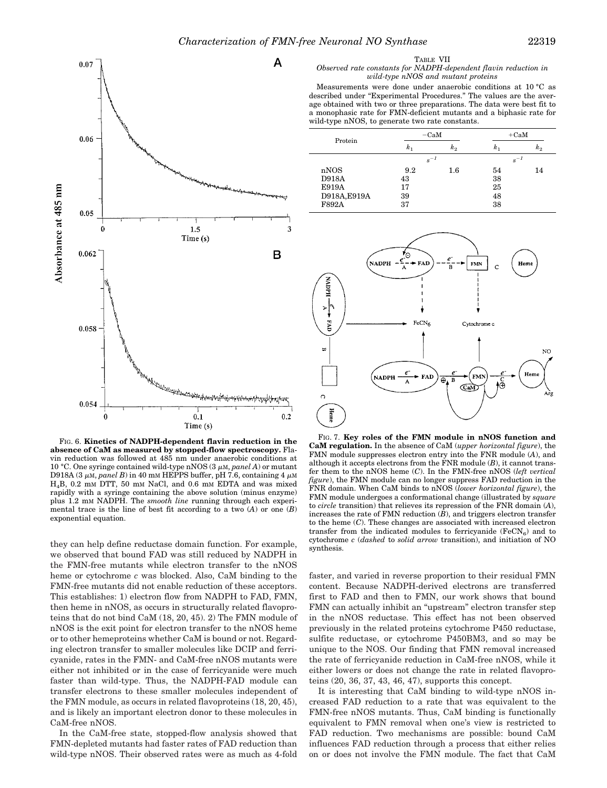

FIG. 6. **Kinetics of NADPH-dependent flavin reduction in the absence of CaM as measured by stopped-flow spectroscopy.** Flavin reduction was followed at 485 nm under anaerobic conditions at 10 °C. One syringe contained wild-type nNOS  $(3 \mu M, panel A)$  or mutant D918A (3  $\mu$ M, *panel B*) in 40 mM HEPPS buffer, pH 7.6, containing 4  $\mu$ M H4B, 0.2 m<sup>M</sup> DTT, 50 m<sup>M</sup> NaCl, and 0.6 m<sup>M</sup> EDTA and was mixed rapidly with a syringe containing the above solution (minus enzyme) plus 1.2 mM NADPH. The *smooth line* running through each experimental trace is the line of best fit according to a two (*A*) or one (*B*) exponential equation.

they can help define reductase domain function. For example, we observed that bound FAD was still reduced by NADPH in the FMN-free mutants while electron transfer to the nNOS heme or cytochrome *c* was blocked. Also, CaM binding to the FMN-free mutants did not enable reduction of these acceptors. This establishes: 1) electron flow from NADPH to FAD, FMN, then heme in nNOS, as occurs in structurally related flavoproteins that do not bind CaM (18, 20, 45). 2) The FMN module of nNOS is the exit point for electron transfer to the nNOS heme or to other hemeproteins whether CaM is bound or not. Regarding electron transfer to smaller molecules like DCIP and ferricyanide, rates in the FMN- and CaM-free nNOS mutants were either not inhibited or in the case of ferricyanide were much faster than wild-type. Thus, the NADPH-FAD module can transfer electrons to these smaller molecules independent of the FMN module, as occurs in related flavoproteins (18, 20, 45), and is likely an important electron donor to these molecules in CaM-free nNOS.

In the CaM-free state, stopped-flow analysis showed that FMN-depleted mutants had faster rates of FAD reduction than wild-type nNOS. Their observed rates were as much as 4-fold

#### *Observed rate constants for NADPH-dependent flavin reduction in wild-type nNOS and mutant proteins*

Measurements were done under anaerobic conditions at 10 °C as described under "Experimental Procedures." The values are the average obtained with two or three preparations. The data were best fit to a monophasic rate for FMN-deficient mutants and a biphasic rate for wild-type nNOS, to generate two rate constants.

| Protein      |          | $-cam$  | $+CaM$   |         |  |
|--------------|----------|---------|----------|---------|--|
|              | $k_{1}$  | $k_{2}$ | $k_{1}$  | $k_{2}$ |  |
|              | $s^{-1}$ |         | $s^{-1}$ |         |  |
| nNOS         | 9.2      | $1.6\,$ | 54       | 14      |  |
| <b>D918A</b> | 43       |         | 38       |         |  |
| E919A        | 17       |         | 25       |         |  |
| D918A, E919A | 39       |         | 48       |         |  |
| F892A        | 37       |         | 38       |         |  |



FIG. 7. **Key roles of the FMN module in nNOS function and CaM regulation.** In the absence of CaM (*upper horizontal figure*), the FMN module suppresses electron entry into the FNR module (*A*), and although it accepts electrons from the FNR module (*B*), it cannot transfer them to the nNOS heme (*C*). In the FMN-free nNOS (*left vertical figure*), the FMN module can no longer suppress FAD reduction in the FNR domain. When CaM binds to nNOS (*lower horizontal figure*), the FMN module undergoes a conformational change (illustrated by *square* to *circle* transition) that relieves its repression of the FNR domain (*A*), increases the rate of FMN reduction  $(\bar{B})$  and triggers electron transfer to the heme (*C*). These changes are associated with increased electron transfer from the indicated modules to ferricyanide  $(FeCN<sub>6</sub>)$  and to cytochrome *c* (*dashed* to *solid arrow* transition), and initiation of NO synthesis.

faster, and varied in reverse proportion to their residual FMN content. Because NADPH-derived electrons are transferred first to FAD and then to FMN, our work shows that bound FMN can actually inhibit an "upstream" electron transfer step in the nNOS reductase. This effect has not been observed previously in the related proteins cytochrome P450 reductase, sulfite reductase, or cytochrome P450BM3, and so may be unique to the NOS. Our finding that FMN removal increased the rate of ferricyanide reduction in CaM-free nNOS, while it either lowers or does not change the rate in related flavoproteins (20, 36, 37, 43, 46, 47), supports this concept.

It is interesting that CaM binding to wild-type nNOS increased FAD reduction to a rate that was equivalent to the FMN-free nNOS mutants. Thus, CaM binding is functionally equivalent to FMN removal when one's view is restricted to FAD reduction. Two mechanisms are possible: bound CaM influences FAD reduction through a process that either relies on or does not involve the FMN module. The fact that CaM